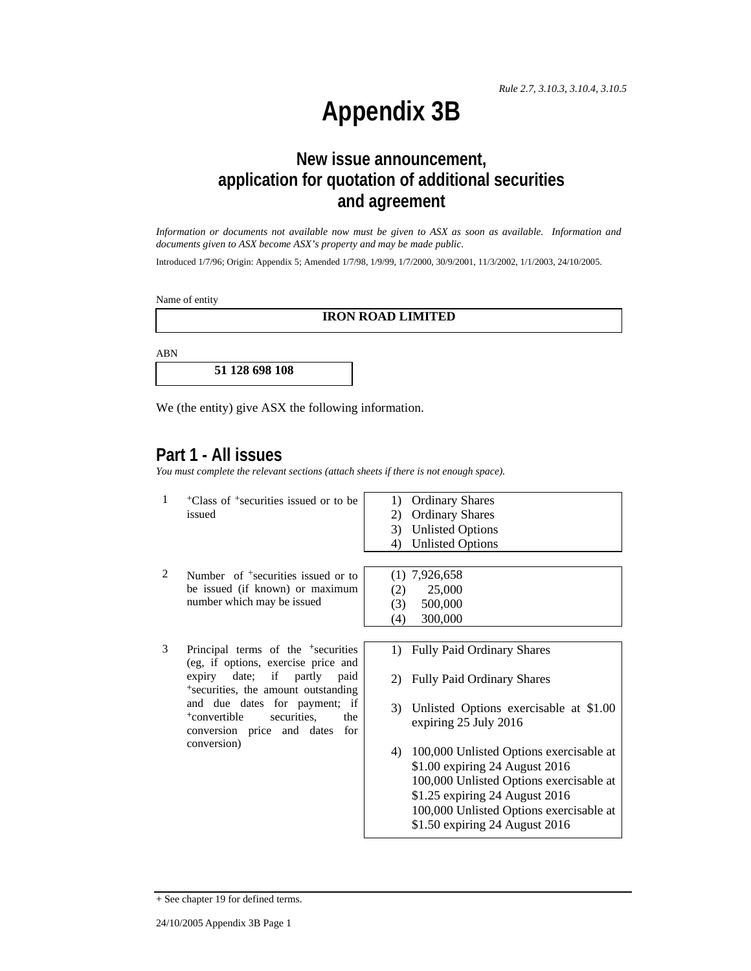## **Appendix 3B**

## **New issue announcement, application for quotation of additional securities and agreement**

*Information or documents not available now must be given to ASX as soon as available. Information and documents given to ASX become ASX's property and may be made public.* 

Introduced 1/7/96; Origin: Appendix 5; Amended 1/7/98, 1/9/99, 1/7/2000, 30/9/2001, 11/3/2002, 1/1/2003, 24/10/2005.

Name of entity

## **IRON ROAD LIMITED**

ABN

**51 128 698 108** 

We (the entity) give ASX the following information.

## **Part 1 - All issues**

*You must complete the relevant sections (attach sheets if there is not enough space).*

| 1 | <sup>+</sup> Class of <sup>+</sup> securities issued or to be<br>issued                                                                                                                                                                                                                                        | <b>Ordinary Shares</b><br>1)<br><b>Ordinary Shares</b><br>2)<br><b>Unlisted Options</b><br>3)<br><b>Unlisted Options</b><br>4)                                                                                                                                                                                                                                                                 |
|---|----------------------------------------------------------------------------------------------------------------------------------------------------------------------------------------------------------------------------------------------------------------------------------------------------------------|------------------------------------------------------------------------------------------------------------------------------------------------------------------------------------------------------------------------------------------------------------------------------------------------------------------------------------------------------------------------------------------------|
| 2 | Number of <sup>+</sup> securities issued or to<br>be issued (if known) or maximum<br>number which may be issued                                                                                                                                                                                                | $(1)$ 7,926,658<br>25,000<br>(2)<br>500,000<br>(3)<br>300,000<br>(4)                                                                                                                                                                                                                                                                                                                           |
| 3 | Principal terms of the <sup>+</sup> securities<br>(eg, if options, exercise price and<br>expiry date; if partly<br>paid<br><sup>+</sup> securities, the amount outstanding<br>and due dates for payment; if<br><sup>+</sup> convertible<br>securities.<br>the<br>conversion price and dates for<br>conversion) | 1) Fully Paid Ordinary Shares<br><b>Fully Paid Ordinary Shares</b><br>2)<br>Unlisted Options exercisable at \$1.00<br>3)<br>expiring 25 July 2016<br>100,000 Unlisted Options exercisable at<br>4)<br>\$1.00 expiring 24 August 2016<br>100,000 Unlisted Options exercisable at<br>\$1.25 expiring 24 August 2016<br>100,000 Unlisted Options exercisable at<br>\$1.50 expiring 24 August 2016 |

+ See chapter 19 for defined terms.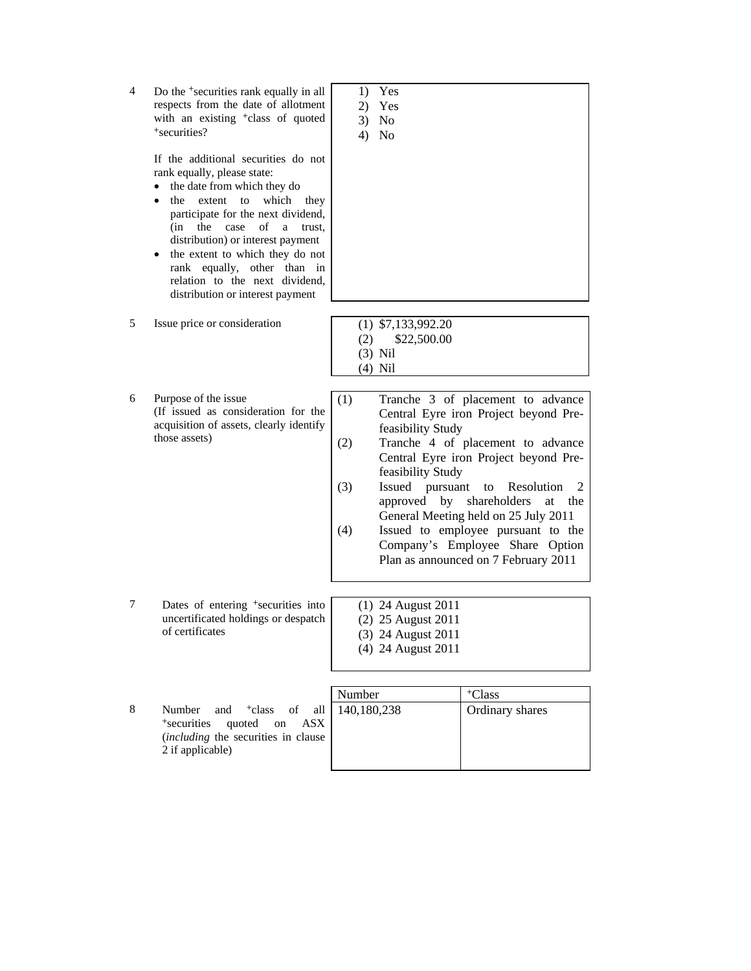| 4 | Do the <sup>+</sup> securities rank equally in all<br>respects from the date of allotment<br>with an existing <sup>+</sup> class of quoted<br>+securities?<br>If the additional securities do not<br>rank equally, please state:<br>the date from which they do<br>$\bullet$<br>which<br>the<br>extent<br>to<br>they<br>$\bullet$<br>participate for the next dividend,<br>(in<br>the<br>case<br>οf<br>trust.<br>a<br>distribution) or interest payment<br>the extent to which they do not<br>rank equally, other than in<br>relation to the next dividend, | 1)<br>2)<br>3)<br>4)     | Yes<br>Yes<br><b>No</b><br>No                                                        |                                                                                                                                                                                                                                                                                                                                                                         |
|---|-------------------------------------------------------------------------------------------------------------------------------------------------------------------------------------------------------------------------------------------------------------------------------------------------------------------------------------------------------------------------------------------------------------------------------------------------------------------------------------------------------------------------------------------------------------|--------------------------|--------------------------------------------------------------------------------------|-------------------------------------------------------------------------------------------------------------------------------------------------------------------------------------------------------------------------------------------------------------------------------------------------------------------------------------------------------------------------|
|   | distribution or interest payment                                                                                                                                                                                                                                                                                                                                                                                                                                                                                                                            |                          |                                                                                      |                                                                                                                                                                                                                                                                                                                                                                         |
| 5 | Issue price or consideration                                                                                                                                                                                                                                                                                                                                                                                                                                                                                                                                | (2)                      | $(1)$ \$7,133,992.20<br>\$22,500.00<br>$(3)$ Nil<br>$(4)$ Nil                        |                                                                                                                                                                                                                                                                                                                                                                         |
| 6 | Purpose of the issue<br>(If issued as consideration for the<br>acquisition of assets, clearly identify<br>those assets)                                                                                                                                                                                                                                                                                                                                                                                                                                     | (1)<br>(2)<br>(3)<br>(4) | feasibility Study<br>feasibility Study<br>Issued pursuant<br>approved by             | Tranche 3 of placement to advance<br>Central Eyre iron Project beyond Pre-<br>Tranche 4 of placement to advance<br>Central Eyre iron Project beyond Pre-<br>Resolution<br>to<br>2<br>shareholders<br>at<br>the<br>General Meeting held on 25 July 2011<br>Issued to employee pursuant to the<br>Company's Employee Share Option<br>Plan as announced on 7 February 2011 |
| 7 | Dates of entering <sup>+</sup> securities into<br>uncertificated holdings or despatch<br>of certificates                                                                                                                                                                                                                                                                                                                                                                                                                                                    |                          | (1) 24 August 2011<br>(2) 25 August 2011<br>(3) 24 August 2011<br>(4) 24 August 2011 |                                                                                                                                                                                                                                                                                                                                                                         |
|   |                                                                                                                                                                                                                                                                                                                                                                                                                                                                                                                                                             |                          |                                                                                      |                                                                                                                                                                                                                                                                                                                                                                         |
|   |                                                                                                                                                                                                                                                                                                                                                                                                                                                                                                                                                             | Number                   |                                                                                      | <sup>+</sup> Class                                                                                                                                                                                                                                                                                                                                                      |
| 8 | <sup>+</sup> class<br>of<br>Number<br>all<br>and<br>+securities<br>quoted<br><b>ASX</b><br>on<br>(including the securities in clause                                                                                                                                                                                                                                                                                                                                                                                                                        | 140,180,238              |                                                                                      | Ordinary shares                                                                                                                                                                                                                                                                                                                                                         |

2 if applicable)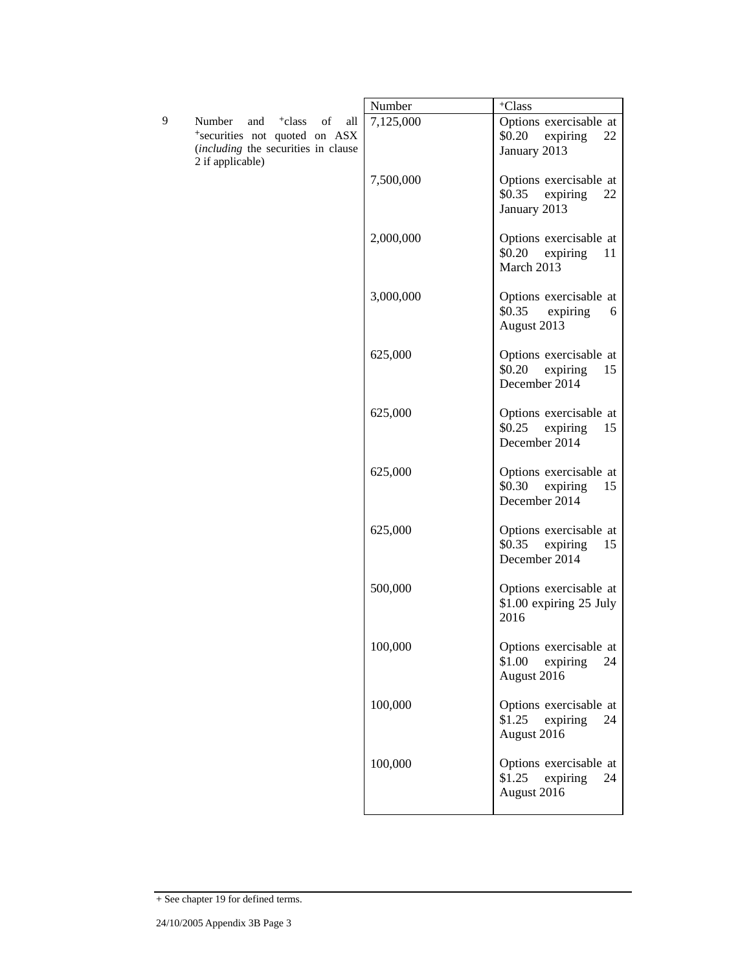|   |                                                                                                                                              | Number    | $^+\mathrm{Class}$                                                  |
|---|----------------------------------------------------------------------------------------------------------------------------------------------|-----------|---------------------------------------------------------------------|
| 9 | Number<br>and<br><sup>+</sup> class<br>of<br>all<br>*securities not quoted on ASX<br>(including the securities in clause<br>2 if applicable) | 7,125,000 | Options exercisable at<br>\$0.20 expiring<br>22<br>January 2013     |
|   |                                                                                                                                              | 7,500,000 | Options exercisable at<br>\$0.35 expiring<br>22<br>January 2013     |
|   |                                                                                                                                              | 2,000,000 | Options exercisable at<br>\$0.20 expiring<br>11<br>March 2013       |
|   |                                                                                                                                              | 3,000,000 | Options exercisable at<br>\$0.35<br>expiring<br>6<br>August 2013    |
|   |                                                                                                                                              | 625,000   | Options exercisable at<br>\$0.20 expiring<br>15<br>December 2014    |
|   |                                                                                                                                              | 625,000   | Options exercisable at<br>\$0.25<br>expiring<br>15<br>December 2014 |
|   |                                                                                                                                              | 625,000   | Options exercisable at<br>\$0.30<br>expiring<br>15<br>December 2014 |
|   |                                                                                                                                              | 625,000   | Options exercisable at<br>\$0.35<br>expiring<br>15<br>December 2014 |
|   |                                                                                                                                              | 500,000   | Options exercisable at<br>\$1.00 expiring 25 July<br>2016           |
|   |                                                                                                                                              | 100,000   | Options exercisable at<br>\$1.00<br>expiring<br>24<br>August 2016   |
|   |                                                                                                                                              | 100,000   | Options exercisable at<br>\$1.25<br>expiring<br>24<br>August 2016   |
|   |                                                                                                                                              | 100,000   | Options exercisable at<br>\$1.25<br>expiring<br>24<br>August 2016   |

<sup>+</sup> See chapter 19 for defined terms.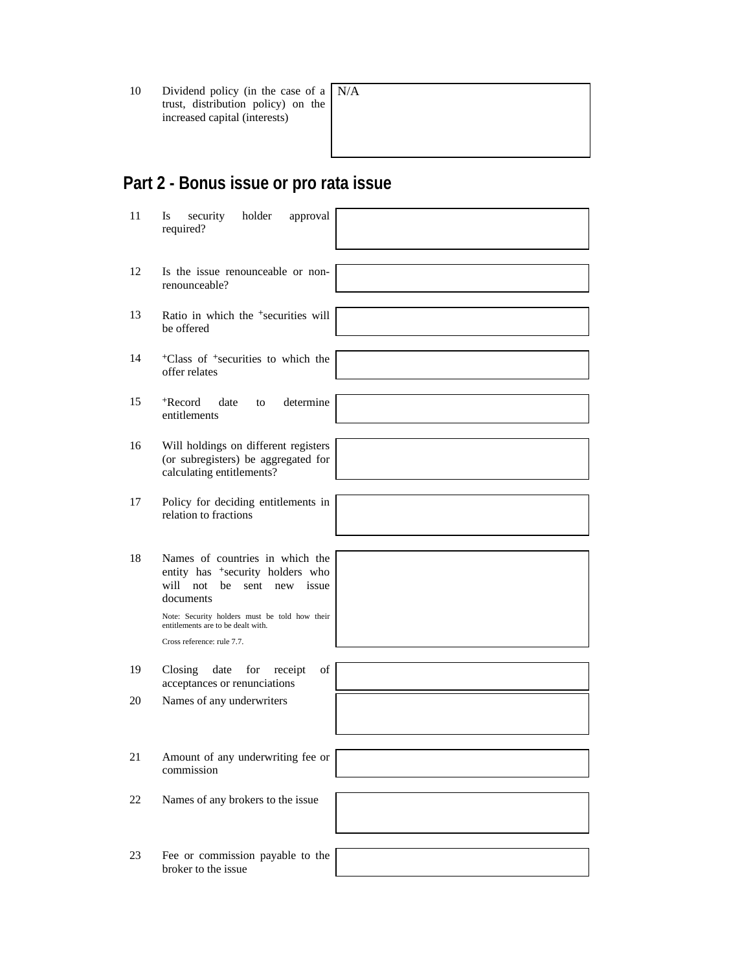10 Dividend policy (in the case of a trust, distribution policy) on the increased capital (interests)

# N/A

## **Part 2 - Bonus issue or pro rata issue**

| 11  | Is<br>security<br>holder<br>approval<br>required?                                                                                                                                                                                                        |  |
|-----|----------------------------------------------------------------------------------------------------------------------------------------------------------------------------------------------------------------------------------------------------------|--|
| 12  | Is the issue renounceable or non-<br>renounceable?                                                                                                                                                                                                       |  |
| 13  | Ratio in which the <sup>+</sup> securities will<br>be offered                                                                                                                                                                                            |  |
| 14  | <sup>+</sup> Class of <sup>+</sup> securities to which the<br>offer relates                                                                                                                                                                              |  |
| 15  | <sup>+</sup> Record<br>date<br>determine<br>to<br>entitlements                                                                                                                                                                                           |  |
| 16  | Will holdings on different registers<br>(or subregisters) be aggregated for<br>calculating entitlements?                                                                                                                                                 |  |
| 17  | Policy for deciding entitlements in<br>relation to fractions                                                                                                                                                                                             |  |
| 18  | Names of countries in which the<br>entity has <sup>+</sup> security holders who<br>will not<br>be<br>sent<br>new issue<br>documents<br>Note: Security holders must be told how their<br>entitlements are to be dealt with.<br>Cross reference: rule 7.7. |  |
| 19  | Closing<br>date for<br>receipt<br>of<br>acceptances or renunciations                                                                                                                                                                                     |  |
| 20  | Names of any underwriters                                                                                                                                                                                                                                |  |
| 21. | Amount of any underwriting fee or<br>commission                                                                                                                                                                                                          |  |
| 22  | Names of any brokers to the issue                                                                                                                                                                                                                        |  |
| 23  | Fee or commission payable to the<br>broker to the issue                                                                                                                                                                                                  |  |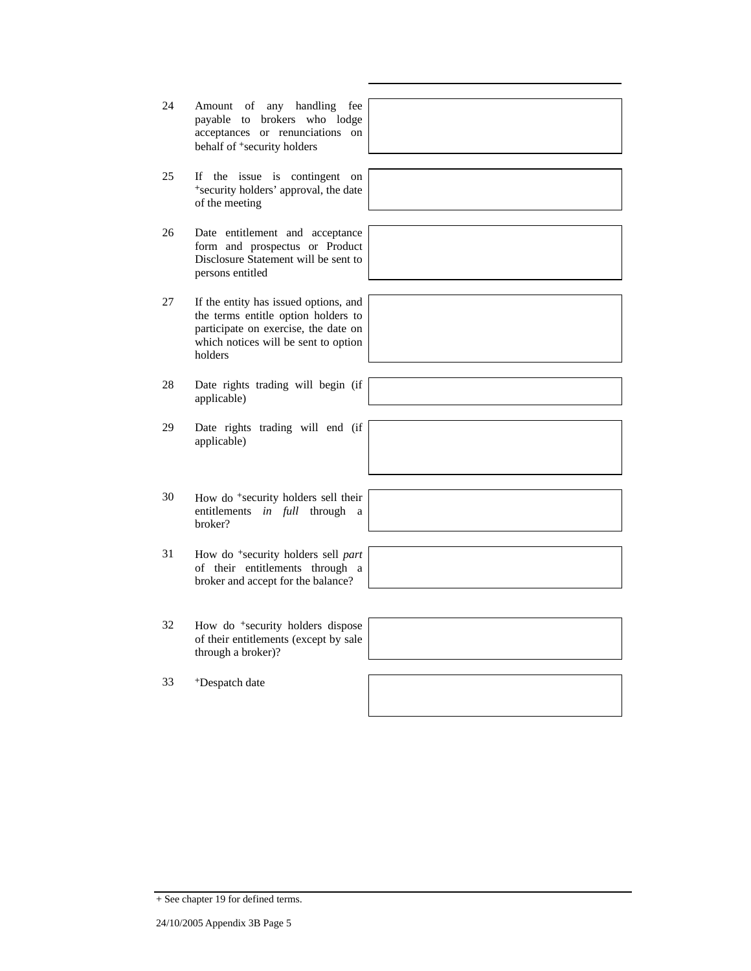+ See chapter 19 for defined terms.

- 24 Amount of any handling fee payable to brokers who lodge acceptances or renunciations on behalf of <sup>+</sup>security holders
- 25 If the issue is contingent on <sup>+</sup>security holders' approval, the date of the meeting
- 26 Date entitlement and acceptance form and prospectus or Product Disclosure Statement will be sent to persons entitled
- 27 If the entity has issued options, and the terms entitle option holders to participate on exercise, the date on which notices will be sent to option holders
- 28 Date rights trading will begin (if applicable)
- 29 Date rights trading will end (if applicable)
- 30 How do <sup>+</sup>security holders sell their entitlements *in full* through a broker?
- 31 How do <sup>+</sup>security holders sell *part* of their entitlements through a broker and accept for the balance?
- 32 How do <sup>+</sup>security holders dispose of their entitlements (except by sale through a broker)?

33 +Despatch date



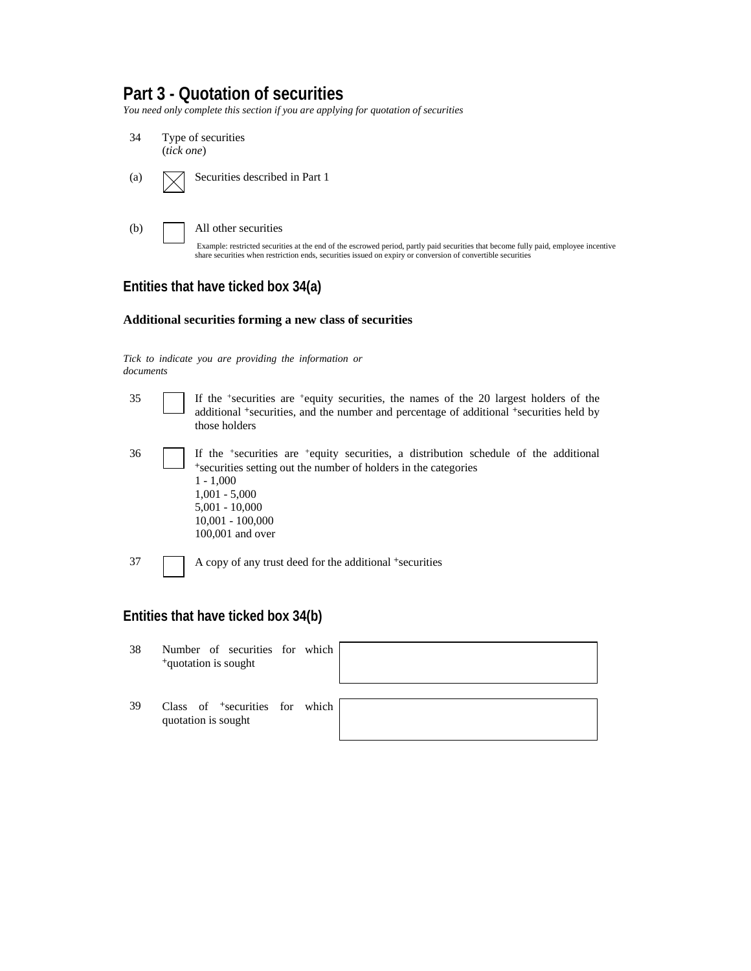## **Part 3 - Quotation of securities**

*You need only complete this section if you are applying for quotation of securities* 



## **Entities that have ticked box 34(a)**

## **Additional securities forming a new class of securities**

*Tick to indicate you are providing the information or documents*

| 35                                  |  | If the $\pm$ securities are $\pm$ equity securities, the names of the 20 largest holders of the<br>additional <sup>+</sup> securities, and the number and percentage of additional <sup>+</sup> securities held by<br>those holders                                               |  |  |
|-------------------------------------|--|-----------------------------------------------------------------------------------------------------------------------------------------------------------------------------------------------------------------------------------------------------------------------------------|--|--|
| 36                                  |  | If the <sup>+</sup> securities are <sup>+</sup> equity securities, a distribution schedule of the additional<br>*securities setting out the number of holders in the categories<br>$1 - 1,000$<br>$1,001 - 5,000$<br>$5,001 - 10,000$<br>$10,001 - 100,000$<br>$100,001$ and over |  |  |
| 37                                  |  | A copy of any trust deed for the additional <sup>+</sup> securities                                                                                                                                                                                                               |  |  |
| Entities that have ticked box 34(b) |  |                                                                                                                                                                                                                                                                                   |  |  |

| 38 | Number of securities for which<br><sup>+</sup> quotation is sought |  |  |
|----|--------------------------------------------------------------------|--|--|
| 39 | Class of <sup>+</sup> securities for which<br>quotation is sought  |  |  |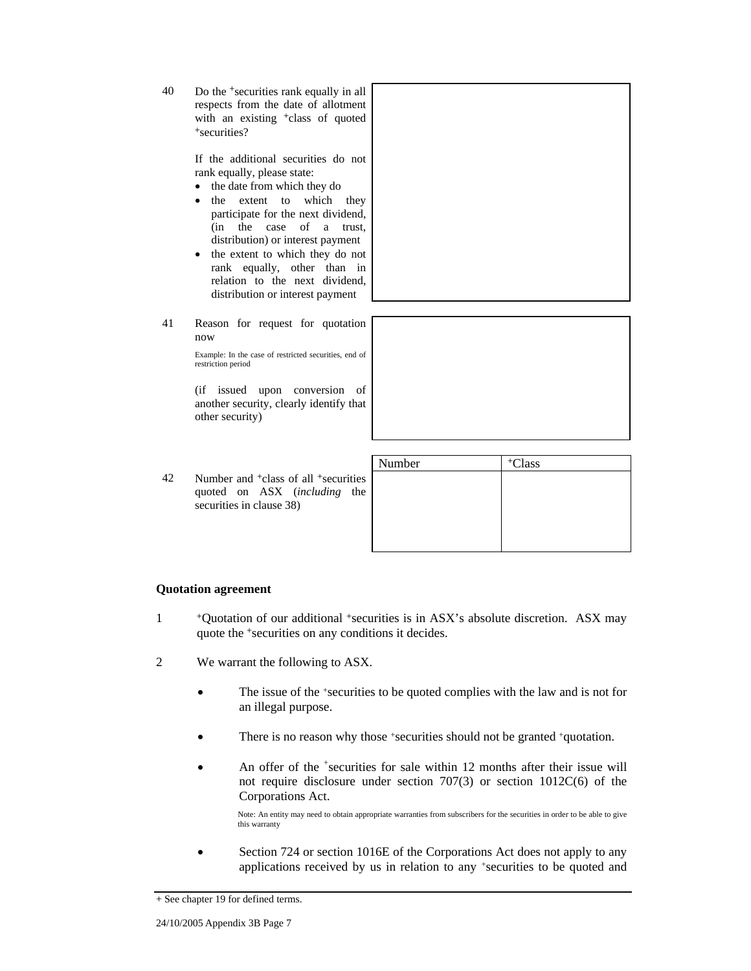40 Do the <sup>+</sup>securities rank equally in all respects from the date of allotment with an existing +class of quoted <sup>+</sup>securities?

> If the additional securities do not rank equally, please state:

- the date from which they do
- the extent to which they participate for the next dividend, (in the case of a trust, distribution) or interest payment
- the extent to which they do not rank equally, other than in relation to the next dividend, distribution or interest payment
- 41 Reason for request for quotation now

Example: In the case of restricted securities, end of restriction period

(if issued upon conversion of another security, clearly identify that other security)

|    |                                                                                                                                  | Number | <sup>+</sup> Class |
|----|----------------------------------------------------------------------------------------------------------------------------------|--------|--------------------|
| 42 | Number and <sup>+</sup> class of all <sup>+</sup> securities<br>quoted on ASX ( <i>including</i> the<br>securities in clause 38) |        |                    |
|    |                                                                                                                                  |        |                    |

#### **Quotation agreement**

- 1 +Quotation of our additional +securities is in ASX's absolute discretion. ASX may quote the +securities on any conditions it decides.
- 2 We warrant the following to ASX.
	- The issue of the +securities to be quoted complies with the law and is not for an illegal purpose.
	- There is no reason why those +securities should not be granted +quotation.
	- An offer of the <sup>+</sup>securities for sale within 12 months after their issue will not require disclosure under section 707(3) or section 1012C(6) of the Corporations Act.

Note: An entity may need to obtain appropriate warranties from subscribers for the securities in order to be able to give this warranty

 Section 724 or section 1016E of the Corporations Act does not apply to any applications received by us in relation to any +securities to be quoted and

<sup>+</sup> See chapter 19 for defined terms.